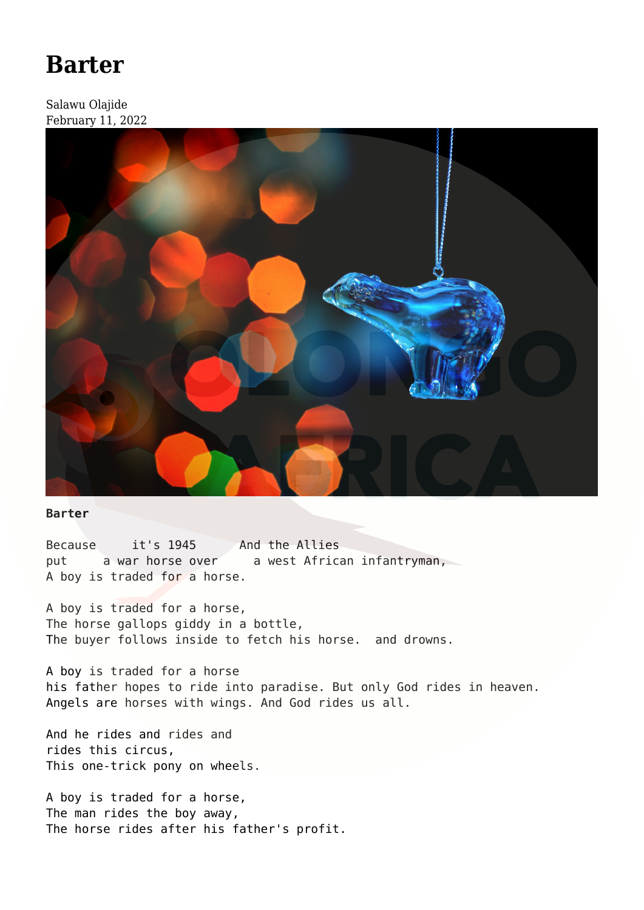## **[Barter](https://olongoafrica.com/barter/)**

Salawu Olajide February 11, 2022



## **Barter**

Because it's 1945 And the Allies put a war horse over a west African infantryman, A boy is traded for a horse.

A boy is traded for a horse, The horse gallops giddy in a bottle, The buyer follows inside to fetch his horse. and drowns.

A boy is traded for a horse his father hopes to ride into paradise. But only God rides in heaven. Angels are horses with wings. And God rides us all.

And he rides and rides and rides this circus, This one-trick pony on wheels.

A boy is traded for a horse, The man rides the boy away, The horse rides after his father's profit.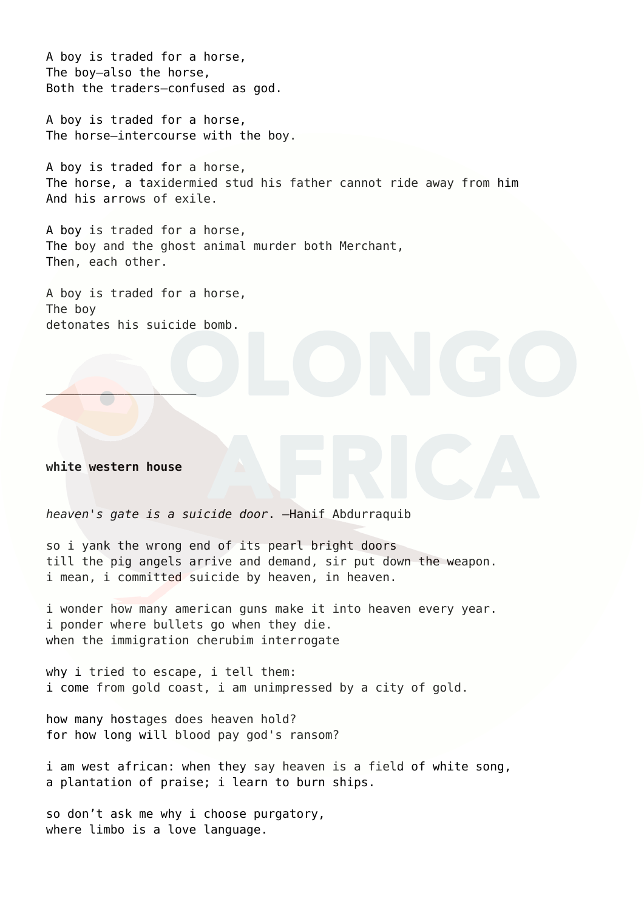A boy is traded for a horse, The boy—also the horse, Both the traders—confused as god.

A boy is traded for a horse, The horse—intercourse with the boy.

A boy is traded for a horse, The horse, a taxidermied stud his father cannot ride away from him And his arrows of exile.

A boy is traded for a horse, The boy and the ghost animal murder both Merchant, Then, each other.

A boy is traded for a horse, The boy detonates his suicide bomb.

## **white western house**

 $\mathcal{L}$  and  $\mathcal{L}$  and  $\mathcal{L}$ 

*heaven's gate is a suicide door*. —Hanif Abdurraquib

so i yank the wrong end of its pearl bright doors till the pig angels arrive and demand, sir put down the weapon. i mean, i committed suicide by heaven, in heaven.

i wonder how many american guns make it into heaven every year. i ponder where bullets go when they die. when the immigration cherubim interrogate

why i tried to escape, i tell them: i come from gold coast, i am unimpressed by a city of gold.

how many hostages does heaven hold? for how long will blood pay god's ransom?

i am west african: when they say heaven is a field of white song, a plantation of praise; i learn to burn ships.

so don't ask me why i choose purgatory, where limbo is a love language.